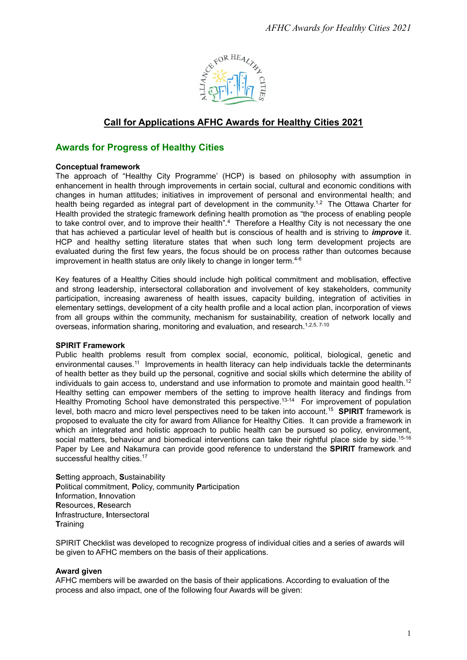

# **Call for Applications AFHC Awards for Healthy Cities 2021**

## **Awards for Progress of Healthy Cities**

#### **Conceptual framework**

The approach of "Healthy City Programme' (HCP) is based on philosophy with assumption in enhancement in health through improvements in certain social, cultural and economic conditions with changes in human attitudes; initiatives in improvement of personal and environmental health; and health being regarded as integral part of development in the community.<sup>1,2</sup> The Ottawa Charter for Health provided the strategic framework defining health promotion as "the process of enabling people to take control over, and to improve their health".<sup>4</sup> Therefore a Healthy City is not necessary the one that has achieved a particular level of health but is conscious of health and is striving to *improve* it. HCP and healthy setting literature states that when such long term development projects are evaluated during the first few years, the focus should be on process rather than outcomes because improvement in health status are only likely to change in longer term.<sup>4-6</sup>

Key features of a Healthy Cities should include high political commitment and moblisation, effective and strong leadership, intersectoral collaboration and involvement of key stakeholders, community participation, increasing awareness of health issues, capacity building, integration of activities in elementary settings, development of a city health profile and a local action plan, incorporation of views from all groups within the community, mechanism for sustainability, creation of network locally and overseas, information sharing, monitoring and evaluation, and research.<sup>1,2,5, 7-10</sup>

#### **SPIRIT Framework**

Public health problems result from complex social, economic, political, biological, genetic and environmental causes.<sup>11</sup> Improvements in health literacy can help individuals tackle the determinants of health better as they build up the personal, cognitive and social skills which determine the ability of individuals to gain access to, understand and use information to promote and maintain good health.<sup>12</sup> Healthy setting can empower members of the setting to improve health literacy and findings from Healthy Promoting School have demonstrated this perspective.<sup>13-14</sup> For improvement of population level, both macro and micro level perspectives need to be taken into account.15 **SPIRIT** framework is proposed to evaluate the city for award from Alliance for Healthy Cities. It can provide a framework in which an integrated and holistic approach to public health can be pursued so policy, environment, social matters, behaviour and biomedical interventions can take their rightful place side by side.<sup>15-16</sup> Paper by Lee and Nakamura can provide good reference to understand the **SPIRIT** framework and successful healthy cities.<sup>17</sup>

**S**etting approach, **S**ustainability **P**olitical commitment, **P**olicy, community **P**articipation **I**nformation, **I**nnovation **R**esources, **R**esearch **I**nfrastructure, **I**ntersectoral **T**raining

SPIRIT Checklist was developed to recognize progress of individual cities and a series of awards will be given to AFHC members on the basis of their applications.

### **Award given**

AFHC members will be awarded on the basis of their applications. According to evaluation of the process and also impact, one of the following four Awards will be given: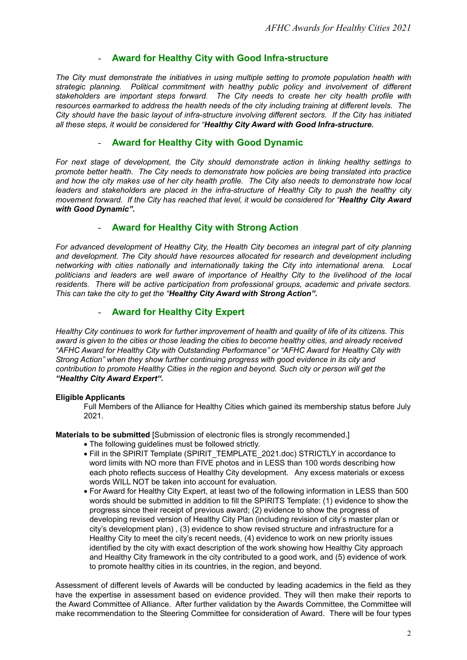## - **Award for Healthy City with Good Infra-structure**

*The City must demonstrate the initiatives in using multiple setting to promote population health with strategic planning. Political commitment with healthy public policy and involvement of different stakeholders are important steps forward. The City needs to create her city health profile with resources earmarked to address the health needs of the city including training at different levels. The City should have the basic layout of infra-structure involving different sectors. If the City has initiated all these steps, it would be considered for "Healthy City Award with Good Infra-structure.* 

## - **Award for Healthy City with Good Dynamic**

*For next stage of development, the City should demonstrate action in linking healthy settings to promote better health. The City needs to demonstrate how policies are being translated into practice and how the city makes use of her city health profile. The City also needs to demonstrate how local*  leaders and stakeholders are placed in the infra-structure of Healthy City to push the healthy city *movement forward. If the City has reached that level, it would be considered for "Healthy City Award with Good Dynamic".* 

## - **Award for Healthy City with Strong Action**

*For advanced development of Healthy City, the Health City becomes an integral part of city planning and development. The City should have resources allocated for research and development including networking with cities nationally and internationally taking the City into international arena. Local politicians and leaders are well aware of importance of Healthy City to the livelihood of the local residents. There will be active participation from professional groups, academic and private sectors. This can take the city to get the "Healthy City Award with Strong Action".* 

## - **Award for Healthy City Expert**

*Healthy City continues to work for further improvement of health and quality of life of its citizens. This award is given to the cities or those leading the cities to become healthy cities, and already received "AFHC Award for Healthy City with Outstanding Performance" or "AFHC Award for Healthy City with Strong Action" when they show further continuing progress with good evidence in its city and contribution to promote Healthy Cities in the region and beyond. Such city or person will get the "Healthy City Award Expert".*

### **Eligible Applicants**

Full Members of the Alliance for Healthy Cities which gained its membership status before July 2021.

**Materials to be submitted** [Submission of electronic files is strongly recommended.]

- The following guidelines must be followed strictly.
- Fill in the SPIRIT Template (SPIRIT\_TEMPLATE\_2021.doc) STRICTLY in accordance to word limits with NO more than FIVE photos and in LESS than 100 words describing how each photo reflects success of Healthy City development. Any excess materials or excess words WILL NOT be taken into account for evaluation.
- For Award for Healthy City Expert, at least two of the following information in LESS than 500 words should be submitted in addition to fill the SPIRITS Template: (1) evidence to show the progress since their receipt of previous award; (2) evidence to show the progress of developing revised version of Healthy City Plan (including revision of city's master plan or city's development plan) , (3) evidence to show revised structure and infrastructure for a Healthy City to meet the city's recent needs, (4) evidence to work on new priority issues identified by the city with exact description of the work showing how Healthy City approach and Healthy City framework in the city contributed to a good work, and (5) evidence of work to promote healthy cities in its countries, in the region, and beyond.

Assessment of different levels of Awards will be conducted by leading academics in the field as they have the expertise in assessment based on evidence provided. They will then make their reports to the Award Committee of Alliance. After further validation by the Awards Committee, the Committee will make recommendation to the Steering Committee for consideration of Award. There will be four types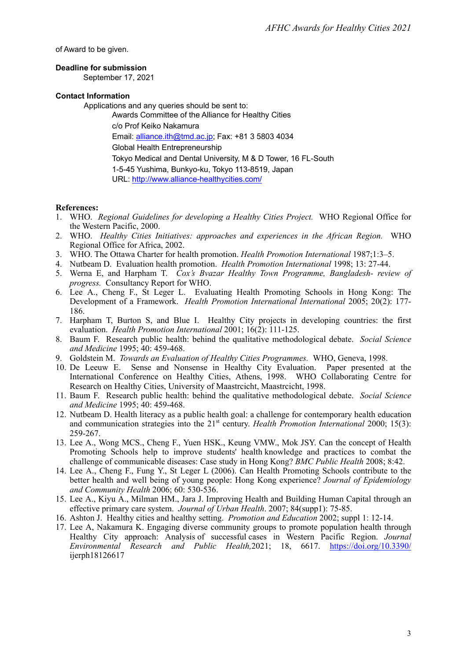of Award to be given.

## **Deadline for submission**

September 17, 2021

#### **Contact Information**

Applications and any queries should be sent to:

Awards Committee of the Alliance for Healthy Cities c/o Prof Keiko Nakamura Email: alliance.ith@tmd.ac.jp; Fax: +81 3 5803 4034 Global Health Entrepreneurship Tokyo Medical and Dental University, M & D Tower, 16 FL-South 1-5-45 Yushima, Bunkyo-ku, Tokyo 113-8519, Japan URL: http://www.alliance-healthycities.com/

### **References:**

- 1. WHO. *Regional Guidelines for developing a Healthy Cities Project.* WHO Regional Office for the Western Pacific, 2000.
- 2. WHO. *Healthy Cities Initiatives: approaches and experiences in the African Region.* WHO Regional Office for Africa, 2002.
- 3. WHO. The Ottawa Charter for health promotion. *Health Promotion International* 1987;1:3–5.
- 4. Nutbeam D. Evaluation health promotion. *Health Promotion International* 1998; 13: 27-44.
- 5. Werna E, and Harpham T. *Cox's Bvazar Healthy Town Programme, Bangladesh- review of progress.* Consultancy Report for WHO.
- 6. Lee A., Cheng F., St Leger L. Evaluating Health Promoting Schools in Hong Kong: The Development of a Framework. *Health Promotion International International* 2005; 20(2): 177- 186.
- 7. Harpham T, Burton S, and Blue I. Healthy City projects in developing countries: the first evaluation. *Health Promotion International* 2001; 16(2): 111-125.
- 8. Baum F. Research public health: behind the qualitative methodological debate. *Social Science and Medicine* 1995; 40: 459-468.
- 9. Goldstein M. *Towards an Evaluation of Healthy Cities Programmes.* WHO, Geneva, 1998.
- 10. De Leeuw E. Sense and Nonsense in Healthy City Evaluation. Paper presented at the International Conference on Healthy Cities, Athens, 1998. WHO Collaborating Centre for Research on Healthy Cities, University of Maastrcicht, Maastrcicht, 1998.
- 11. Baum F. Research public health: behind the qualitative methodological debate. *Social Science and Medicine* 1995; 40: 459-468.
- 12. Nutbeam D. Health literacy as a public health goal: a challenge for contemporary health education and communication strategies into the 21<sup>st</sup> century. *Health Promotion International* 2000; 15(3): 259-267.
- 13. Lee A., Wong MCS., Cheng F., Yuen HSK., Keung VMW., Mok JSY. Can the concept of Health Promoting Schools help to improve students' health knowledge and practices to combat the challenge of communicable diseases: Case study in Hong Kong? *BMC Public Health* 2008; 8:42.
- 14. Lee A., Cheng F., Fung Y., St Leger L (2006). Can Health Promoting Schools contribute to the better health and well being of young people: Hong Kong experience? *Journal of Epidemiology and Community Health* 2006; 60: 530-536.
- 15. Lee A., Kiyu A., Milman HM., Jara J. Improving Health and Building Human Capital through an effective primary care system. *Journal of Urban Health*. 2007; 84(supp1): 75-85.
- 16. Ashton J. Healthy cities and healthy setting. *Promotion and Education* 2002; suppl 1: 12-14.
- 17. Lee A, Nakamura K. Engaging diverse community groups to promote population health through Healthy City approach: Analysis of successful cases in Western Pacific Region. *Journal Environmental Research and Public Health,*2021; 18, 6617. https://doi.org/10.3390/ ijerph18126617